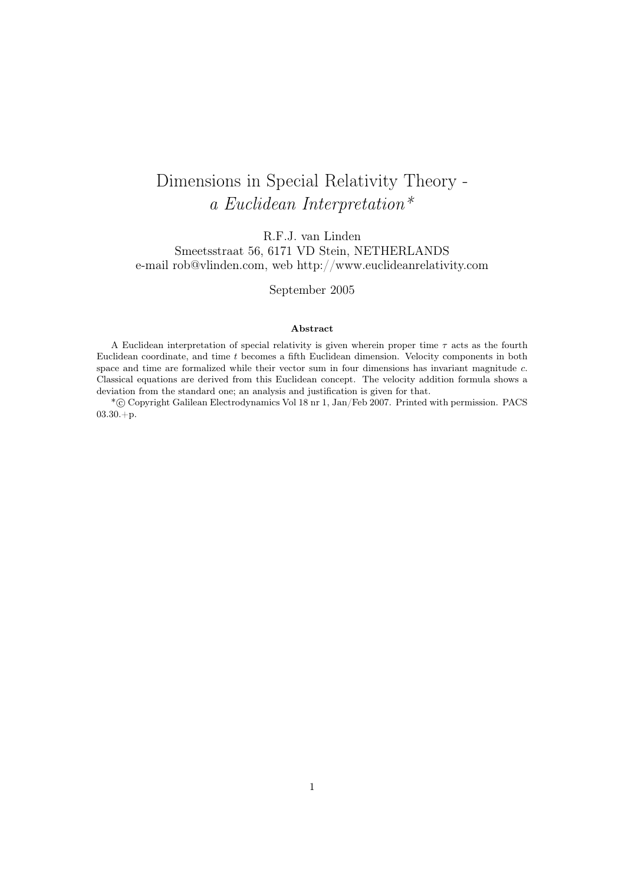# Dimensions in Special Relativity Theory a Euclidean Interpretation\*

R.F.J. van Linden Smeetsstraat 56, 6171 VD Stein, NETHERLANDS e-mail rob@vlinden.com, web http://www.euclideanrelativity.com

September 2005

#### Abstract

A Euclidean interpretation of special relativity is given wherein proper time  $\tau$  acts as the fourth Euclidean coordinate, and time t becomes a fifth Euclidean dimension. Velocity components in both space and time are formalized while their vector sum in four dimensions has invariant magnitude c. Classical equations are derived from this Euclidean concept. The velocity addition formula shows a deviation from the standard one; an analysis and justification is given for that.

\*°c Copyright Galilean Electrodynamics Vol 18 nr 1, Jan/Feb 2007. Printed with permission. PACS 03.30.+p.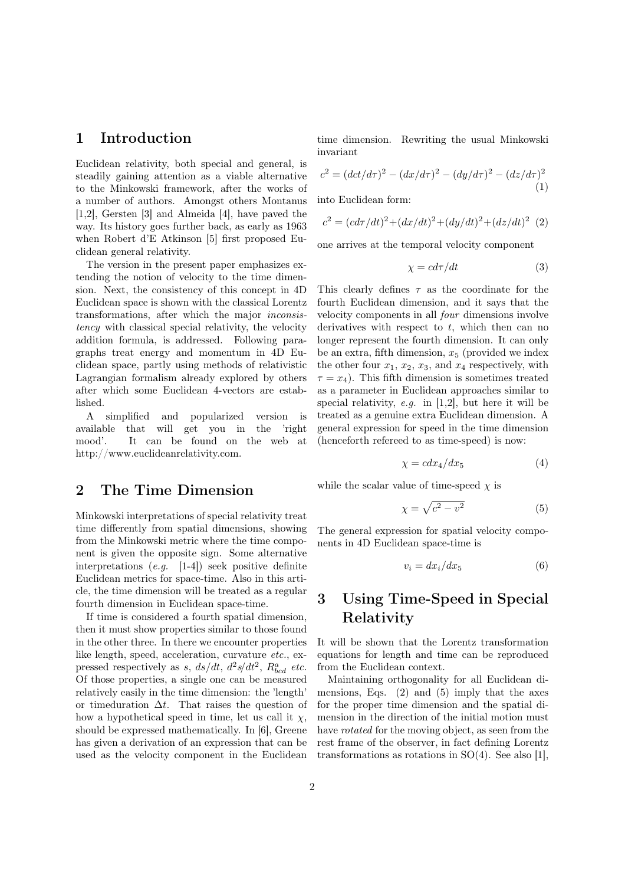### 1 Introduction

Euclidean relativity, both special and general, is steadily gaining attention as a viable alternative to the Minkowski framework, after the works of a number of authors. Amongst others Montanus [1,2], Gersten [3] and Almeida [4], have paved the way. Its history goes further back, as early as 1963 when Robert d'E Atkinson [5] first proposed Euclidean general relativity.

The version in the present paper emphasizes extending the notion of velocity to the time dimension. Next, the consistency of this concept in 4D Euclidean space is shown with the classical Lorentz transformations, after which the major inconsistency with classical special relativity, the velocity addition formula, is addressed. Following paragraphs treat energy and momentum in 4D Euclidean space, partly using methods of relativistic Lagrangian formalism already explored by others after which some Euclidean 4-vectors are established.

A simplified and popularized version is available that will get you in the 'right mood'. It can be found on the web at http://www.euclideanrelativity.com.

#### 2 The Time Dimension

Minkowski interpretations of special relativity treat time differently from spatial dimensions, showing from the Minkowski metric where the time component is given the opposite sign. Some alternative interpretations (e.g. [1-4]) seek positive definite Euclidean metrics for space-time. Also in this article, the time dimension will be treated as a regular fourth dimension in Euclidean space-time.

If time is considered a fourth spatial dimension, then it must show properties similar to those found in the other three. In there we encounter properties like length, speed, acceleration, curvature etc., expressed respectively as s,  $ds/dt$ ,  $d^2s/dt^2$ ,  $R_{bcd}^a$  etc. Of those properties, a single one can be measured relatively easily in the time dimension: the 'length' or timeduration  $\Delta t$ . That raises the question of how a hypothetical speed in time, let us call it  $\chi$ , should be expressed mathematically. In [6], Greene has given a derivation of an expression that can be used as the velocity component in the Euclidean time dimension. Rewriting the usual Minkowski invariant

$$
c^{2} = (dct/d\tau)^{2} - (dx/d\tau)^{2} - (dy/d\tau)^{2} - (dz/d\tau)^{2}
$$
\n(1)

into Euclidean form:

$$
c^{2} = (cd\tau/dt)^{2} + (dx/dt)^{2} + (dy/dt)^{2} + (dz/dt)^{2} (2)
$$

one arrives at the temporal velocity component

$$
\chi = c d\tau / dt \tag{3}
$$

This clearly defines  $\tau$  as the coordinate for the fourth Euclidean dimension, and it says that the velocity components in all four dimensions involve derivatives with respect to  $t$ , which then can no longer represent the fourth dimension. It can only be an extra, fifth dimension,  $x_5$  (provided we index the other four  $x_1, x_2, x_3$ , and  $x_4$  respectively, with  $\tau = x_4$ ). This fifth dimension is sometimes treated as a parameter in Euclidean approaches similar to special relativity, e.g. in  $[1,2]$ , but here it will be treated as a genuine extra Euclidean dimension. A general expression for speed in the time dimension (henceforth refereed to as time-speed) is now:

$$
\chi = c dx_4/dx_5 \tag{4}
$$

while the scalar value of time-speed  $\chi$  is

$$
\chi = \sqrt{c^2 - v^2} \tag{5}
$$

The general expression for spatial velocity components in 4D Euclidean space-time is

$$
v_i = dx_i/dx_5 \tag{6}
$$

## 3 Using Time-Speed in Special Relativity

It will be shown that the Lorentz transformation equations for length and time can be reproduced from the Euclidean context.

Maintaining orthogonality for all Euclidean dimensions, Eqs.  $(2)$  and  $(5)$  imply that the axes for the proper time dimension and the spatial dimension in the direction of the initial motion must have *rotated* for the moving object, as seen from the rest frame of the observer, in fact defining Lorentz transformations as rotations in SO(4). See also [1],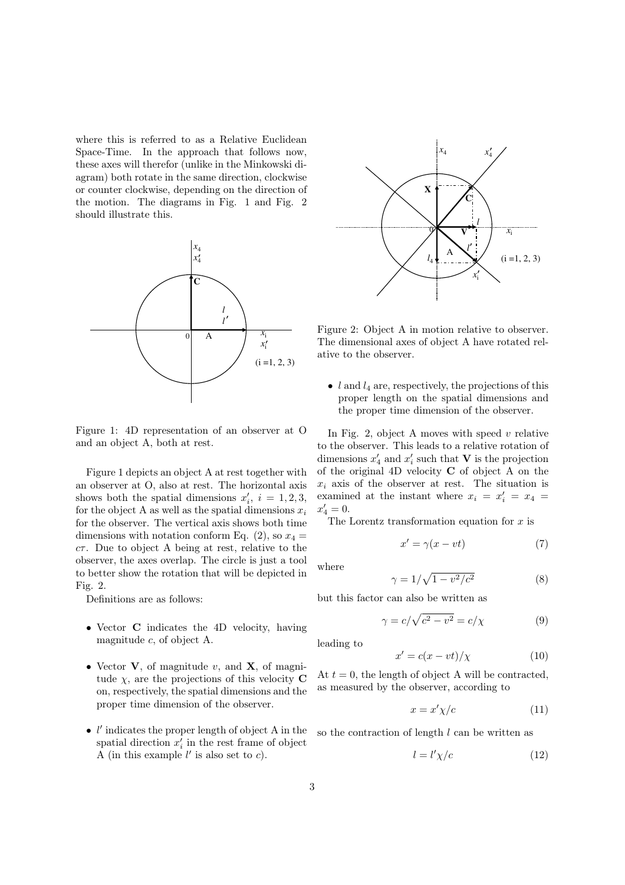where this is referred to as a Relative Euclidean Space-Time. In the approach that follows now, these axes will therefor (unlike in the Minkowski diagram) both rotate in the same direction, clockwise or counter clockwise, depending on the direction of the motion. The diagrams in Fig. 1 and Fig. 2 should illustrate this.



Figure 1: 4D representation of an observer at O and an object A, both at rest.

Figure 1 depicts an object A at rest together with an observer at O, also at rest. The horizontal axis shows both the spatial dimensions  $x'_i$ ,  $i = 1, 2, 3$ , for the object A as well as the spatial dimensions  $x_i$ for the observer. The vertical axis shows both time dimensions with notation conform Eq. (2), so  $x_4 =$  $c\tau$ . Due to object A being at rest, relative to the observer, the axes overlap. The circle is just a tool to better show the rotation that will be depicted in Fig. 2.

Definitions are as follows:

- Vector **C** indicates the 4D velocity, having magnitude c, of object A.
- Vector  $V$ , of magnitude v, and  $X$ , of magnitude  $\chi$ , are the projections of this velocity **C** on, respectively, the spatial dimensions and the proper time dimension of the observer.
- $\bullet$   $l'$  indicates the proper length of object A in the spatial direction  $x_i'$  in the rest frame of object A (in this example  $l'$  is also set to  $c$ ).



Figure 2: Object A in motion relative to observer. The dimensional axes of object A have rotated relative to the observer.

• l and  $l_4$  are, respectively, the projections of this proper length on the spatial dimensions and the proper time dimension of the observer.

In Fig. 2, object A moves with speed  $v$  relative to the observer. This leads to a relative rotation of dimensions  $x'_4$  and  $x'_i$  such that **V** is the projection of the original 4D velocity C of object A on the  $x_i$  axis of the observer at rest. The situation is examined at the instant where  $x_i = x'_i = x_4 =$  $x'_4 = 0.$ 

The Lorentz transformation equation for  $x$  is

$$
x' = \gamma(x - vt) \tag{7}
$$

where

$$
\gamma = 1/\sqrt{1 - v^2/c^2} \tag{8}
$$

but this factor can also be written as

$$
\gamma = c/\sqrt{c^2 - v^2} = c/\chi \tag{9}
$$

leading to

$$
x' = c(x - vt) / \chi \tag{10}
$$

At  $t = 0$ , the length of object A will be contracted. as measured by the observer, according to

$$
x = x' \chi/c \tag{11}
$$

so the contraction of length  $l$  can be written as

$$
l = l' \chi/c \tag{12}
$$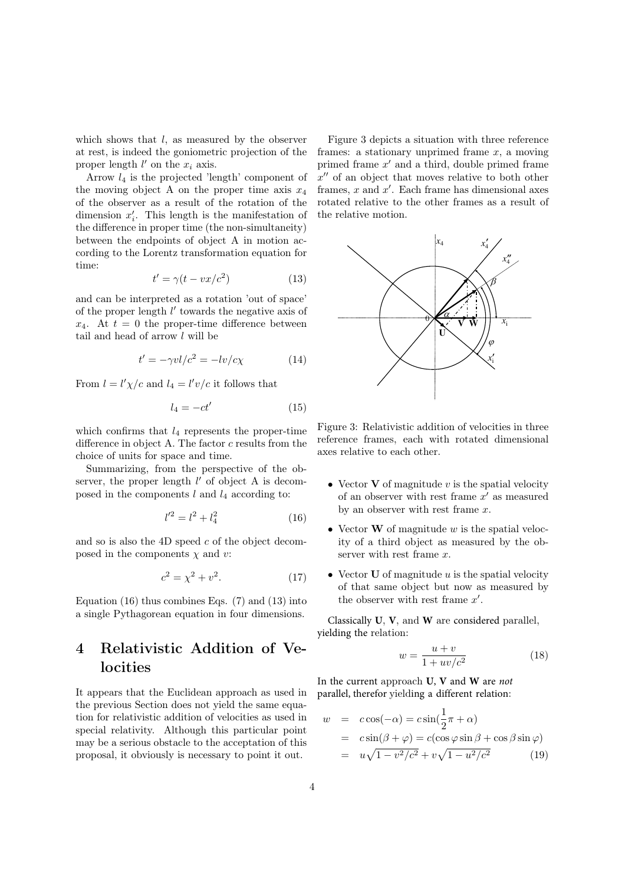which shows that *l*, as measured by the observer at rest, is indeed the goniometric projection of the proper length  $l'$  on the  $x_i$  axis.

Arrow  $l_4$  is the projected 'length' component of the moving object A on the proper time axis  $x_4$ of the observer as a result of the rotation of the dimension  $x_i'$ . This length is the manifestation of the difference in proper time (the non-simultaneity) between the endpoints of object A in motion according to the Lorentz transformation equation for time:

$$
t' = \gamma(t - vx/c^2)
$$
 (13)

and can be interpreted as a rotation 'out of space' of the proper length  $l'$  towards the negative axis of  $x_4$ . At  $t = 0$  the proper-time difference between tail and head of arrow  $l$  will be

$$
t' = -\gamma v l/c^2 = -lv/c\chi \tag{14}
$$

From  $l = l' \chi/c$  and  $l_4 = l' v/c$  it follows that

$$
l_4 = -ct'
$$
 (15)

which confirms that  $l_4$  represents the proper-time difference in object A. The factor  $c$  results from the choice of units for space and time.

Summarizing, from the perspective of the observer, the proper length  $l'$  of object A is decomposed in the components  $l$  and  $l_4$  according to:

$$
l'^2 = l^2 + l_4^2 \tag{16}
$$

and so is also the 4D speed  $c$  of the object decomposed in the components  $\chi$  and  $v$ :

$$
c^2 = \chi^2 + v^2. \tag{17}
$$

Equation  $(16)$  thus combines Eqs.  $(7)$  and  $(13)$  into a single Pythagorean equation in four dimensions.

## 4 Relativistic Addition of Velocities

It appears that the Euclidean approach as used in the previous Section does not yield the same equation for relativistic addition of velocities as used in special relativity. Although this particular point may be a serious obstacle to the acceptation of this proposal, it obviously is necessary to point it out.

Figure 3 depicts a situation with three reference frames: a stationary unprimed frame  $x$ , a moving primed frame  $x'$  and a third, double primed frame  $x''$  of an object that moves relative to both other frames,  $x$  and  $x'$ . Each frame has dimensional axes rotated relative to the other frames as a result of the relative motion.



Figure 3: Relativistic addition of velocities in three reference frames, each with rotated dimensional axes relative to each other.

- Vector  $V$  of magnitude v is the spatial velocity of an observer with rest frame  $x'$  as measured by an observer with rest frame  $x$ .
- Vector  $\bf{W}$  of magnitude  $w$  is the spatial velocity of a third object as measured by the observer with rest frame x.
- Vector  **of magnitude**  $u$  **is the spatial velocity** of that same object but now as measured by the observer with rest frame  $x'$ .

Classically **U**, **V**, and **W** are considered parallel, yielding the relation:

$$
w = \frac{u+v}{1+uv/c^2} \tag{18}
$$

In the current approach **U**, **V** and **W** are *not* parallel, therefor yielding a different relation:

$$
w = c\cos(-\alpha) = c\sin(\frac{1}{2}\pi + \alpha)
$$
  
=  $c\sin(\beta + \varphi) = c(\cos\varphi\sin\beta + \cos\beta\sin\varphi)$   
=  $u\sqrt{1 - v^2/c^2} + v\sqrt{1 - u^2/c^2}$  (19)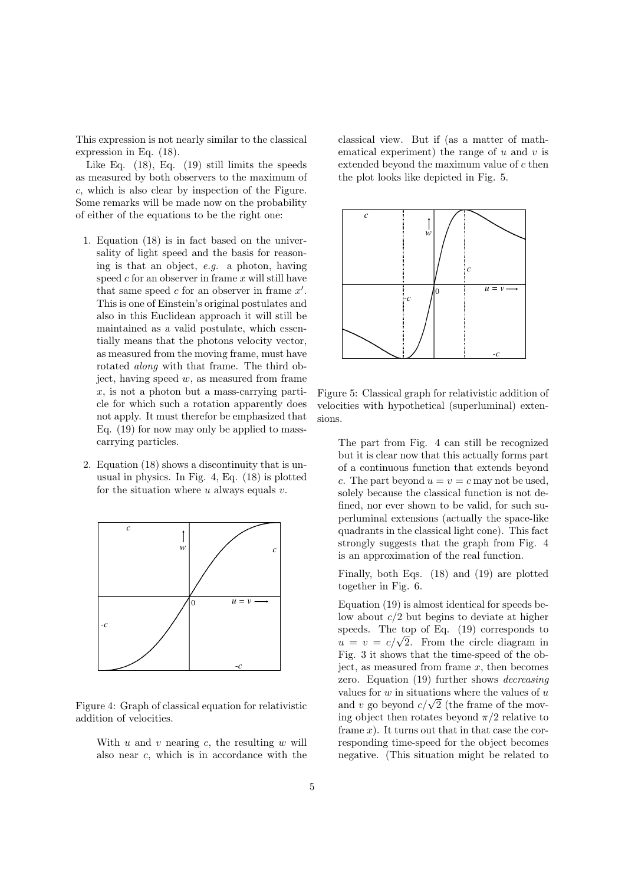This expression is not nearly similar to the classical expression in Eq. (18).

Like Eq. (18), Eq. (19) still limits the speeds as measured by both observers to the maximum of c, which is also clear by inspection of the Figure. Some remarks will be made now on the probability of either of the equations to be the right one:

- 1. Equation (18) is in fact based on the universality of light speed and the basis for reasoning is that an object, e.g. a photon, having speed  $c$  for an observer in frame  $x$  will still have that same speed  $c$  for an observer in frame  $x'$ . This is one of Einstein's original postulates and also in this Euclidean approach it will still be maintained as a valid postulate, which essentially means that the photons velocity vector, as measured from the moving frame, must have rotated along with that frame. The third object, having speed  $w$ , as measured from frame  $x$ , is not a photon but a mass-carrying particle for which such a rotation apparently does not apply. It must therefor be emphasized that Eq. (19) for now may only be applied to masscarrying particles.
- 2. Equation (18) shows a discontinuity that is unusual in physics. In Fig. 4, Eq. (18) is plotted for the situation where  $u$  always equals  $v$ .



Figure 4: Graph of classical equation for relativistic addition of velocities.

With  $u$  and  $v$  nearing  $c$ , the resulting  $w$  will also near c, which is in accordance with the classical view. But if (as a matter of mathematical experiment) the range of  $u$  and  $v$  is extended beyond the maximum value of c then the plot looks like depicted in Fig. 5.



Figure 5: Classical graph for relativistic addition of velocities with hypothetical (superluminal) extensions.

The part from Fig. 4 can still be recognized but it is clear now that this actually forms part of a continuous function that extends beyond c. The part beyond  $u = v = c$  may not be used. solely because the classical function is not defined, nor ever shown to be valid, for such superluminal extensions (actually the space-like quadrants in the classical light cone). This fact strongly suggests that the graph from Fig. 4 is an approximation of the real function.

Finally, both Eqs. (18) and (19) are plotted together in Fig. 6.

Equation (19) is almost identical for speeds below about  $c/2$  but begins to deviate at higher speeds. The top of Eq. (19) corresponds to speeds. The top of Eq. (19) corresponds to  $u = v = c/\sqrt{2}$ . From the circle diagram in Fig. 3 it shows that the time-speed of the object, as measured from frame  $x$ , then becomes zero. Equation (19) further shows decreasing values for  $w$  in situations where the values of  $u$ values for w in situations where the values of u<br>and v go beyond  $c/\sqrt{2}$  (the frame of the moving object then rotates beyond  $\pi/2$  relative to frame  $x$ ). It turns out that in that case the corresponding time-speed for the object becomes negative. (This situation might be related to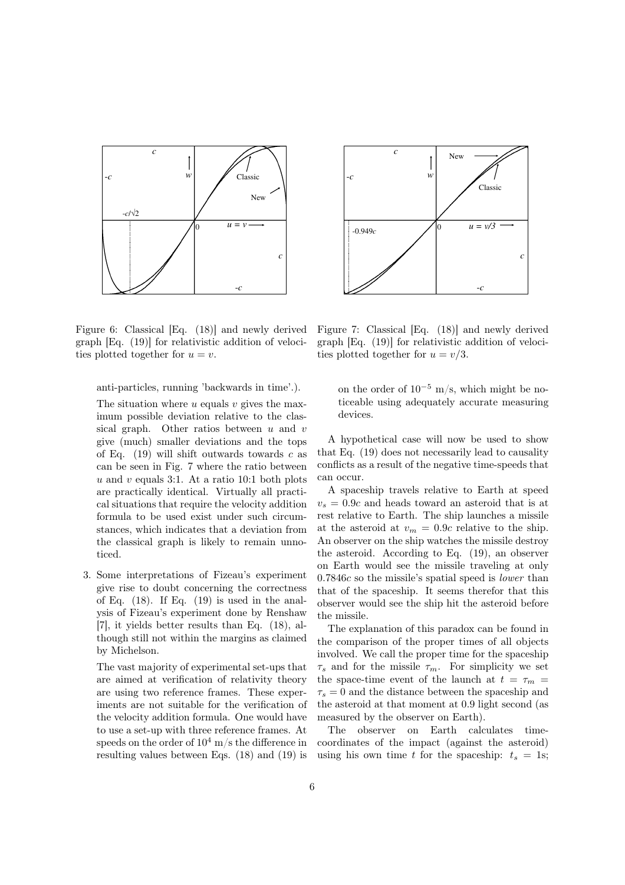



Figure 6: Classical [Eq. (18)] and newly derived graph [Eq. (19)] for relativistic addition of velocities plotted together for  $u = v$ .

anti-particles, running 'backwards in time'.).

The situation where  $u$  equals  $v$  gives the maximum possible deviation relative to the classical graph. Other ratios between  $u$  and  $v$ give (much) smaller deviations and the tops of Eq.  $(19)$  will shift outwards towards c as can be seen in Fig. 7 where the ratio between  $u$  and  $v$  equals 3:1. At a ratio 10:1 both plots are practically identical. Virtually all practical situations that require the velocity addition formula to be used exist under such circumstances, which indicates that a deviation from the classical graph is likely to remain unnoticed.

3. Some interpretations of Fizeau's experiment give rise to doubt concerning the correctness of Eq.  $(18)$ . If Eq.  $(19)$  is used in the analysis of Fizeau's experiment done by Renshaw [7], it yields better results than Eq. (18), although still not within the margins as claimed by Michelson.

The vast majority of experimental set-ups that are aimed at verification of relativity theory are using two reference frames. These experiments are not suitable for the verification of the velocity addition formula. One would have to use a set-up with three reference frames. At speeds on the order of  $10^4$  m/s the difference in resulting values between Eqs. (18) and (19) is

graph [Eq. (19)] for relativistic addition of velocities plotted together for  $u = v/3$ .

Figure 7: Classical [Eq. (18)] and newly derived

on the order of  $10^{-5}$  m/s, which might be noticeable using adequately accurate measuring devices.

A hypothetical case will now be used to show that Eq. (19) does not necessarily lead to causality conflicts as a result of the negative time-speeds that can occur.

A spaceship travels relative to Earth at speed  $v_s = 0.9c$  and heads toward an asteroid that is at rest relative to Earth. The ship launches a missile at the asteroid at  $v_m = 0.9c$  relative to the ship. An observer on the ship watches the missile destroy the asteroid. According to Eq. (19), an observer on Earth would see the missile traveling at only 0.7846c so the missile's spatial speed is lower than that of the spaceship. It seems therefor that this observer would see the ship hit the asteroid before the missile.

The explanation of this paradox can be found in the comparison of the proper times of all objects involved. We call the proper time for the spaceship  $\tau_s$  and for the missile  $\tau_m$ . For simplicity we set the space-time event of the launch at  $t = \tau_m$  $\tau_s = 0$  and the distance between the spaceship and the asteroid at that moment at 0.9 light second (as measured by the observer on Earth).

The observer on Earth calculates timecoordinates of the impact (against the asteroid) using his own time t for the spaceship:  $t_s = 1$ s;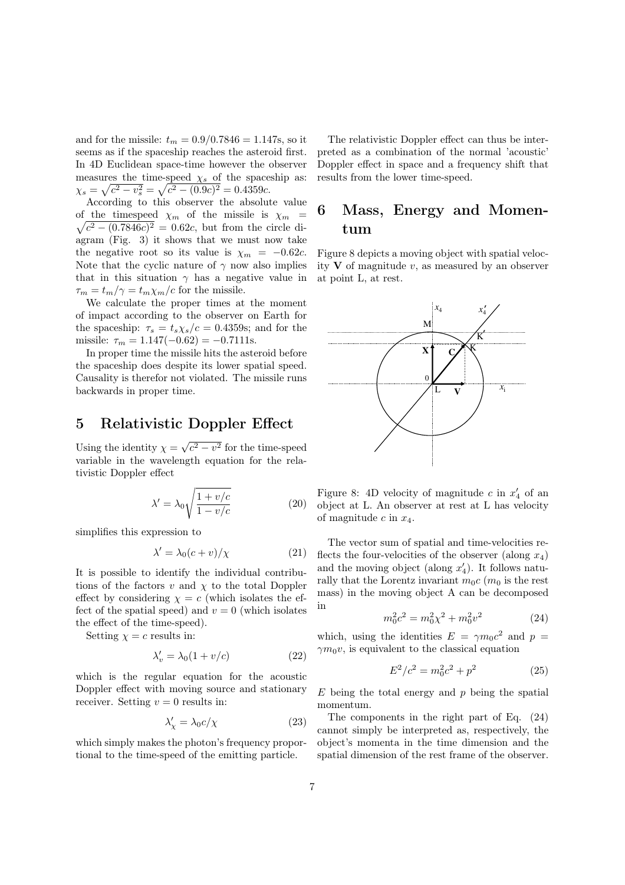and for the missile:  $t_m = 0.9/0.7846 = 1.147\mathrm{s},$  so it seems as if the spaceship reaches the asteroid first. In 4D Euclidean space-time however the observer measures the time-speed  $\chi_s$  of the spaceship as:  $\chi_s = \sqrt{c^2 - v_s^2} = \sqrt{c^2 - (0.9c)^2} = 0.4359c.$ 

According to this observer the absolute value of the timespeed  $\chi_m$  of the missile is  $\chi_m$  =  $c^2 - (0.7846c)^2 = 0.62c$ , but from the circle diagram (Fig. 3) it shows that we must now take the negative root so its value is  $\chi_m = -0.62c$ . Note that the cyclic nature of  $\gamma$  now also implies that in this situation  $\gamma$  has a negative value in  $\tau_m = t_m/\gamma = t_m \chi_m/c$  for the missile.

We calculate the proper times at the moment of impact according to the observer on Earth for the spaceship:  $\tau_s = t_s \chi_s/c = 0.4359$ s; and for the missile:  $\tau_m = 1.147(-0.62) = -0.7111$ s.

In proper time the missile hits the asteroid before the spaceship does despite its lower spatial speed. Causality is therefor not violated. The missile runs backwards in proper time.

#### 5 Relativistic Doppler Effect

Using the identity  $\chi =$ √  $c^2 - v^2$  for the time-speed variable in the wavelength equation for the relativistic Doppler effect

$$
\lambda' = \lambda_0 \sqrt{\frac{1 + v/c}{1 - v/c}} \tag{20}
$$

simplifies this expression to

$$
\lambda' = \lambda_0 (c + v) / \chi \tag{21}
$$

It is possible to identify the individual contributions of the factors  $v$  and  $\chi$  to the total Doppler effect by considering  $\chi = c$  (which isolates the effect of the spatial speed) and  $v = 0$  (which isolates the effect of the time-speed).

Setting  $\chi = c$  results in:

$$
\lambda'_v = \lambda_0 (1 + v/c) \tag{22}
$$

which is the regular equation for the acoustic Doppler effect with moving source and stationary receiver. Setting  $v = 0$  results in:

$$
\lambda'_{\chi} = \lambda_0 c / \chi \tag{23}
$$

which simply makes the photon's frequency proportional to the time-speed of the emitting particle.

The relativistic Doppler effect can thus be interpreted as a combination of the normal 'acoustic' Doppler effect in space and a frequency shift that results from the lower time-speed.

### 6 Mass, Energy and Momentum

Figure 8 depicts a moving object with spatial velocity  $V$  of magnitude  $v$ , as measured by an observer at point L, at rest.



Figure 8: 4D velocity of magnitude  $c$  in  $x'_4$  of an object at L. An observer at rest at L has velocity of magnitude c in  $x_4$ .

The vector sum of spatial and time-velocities reflects the four-velocities of the observer (along  $x_4$ ) and the moving object (along  $x_4'$ ). It follows naturally that the Lorentz invariant  $m_0c$  ( $m_0$  is the rest mass) in the moving object A can be decomposed in

$$
m_0^2 c^2 = m_0^2 \chi^2 + m_0^2 v^2 \tag{24}
$$

which, using the identities  $E = \gamma m_0 c^2$  and  $p =$  $\gamma m_0 v$ , is equivalent to the classical equation

$$
E^2/c^2 = m_0^2 c^2 + p^2 \tag{25}
$$

 $E$  being the total energy and  $p$  being the spatial momentum.

The components in the right part of Eq. (24) cannot simply be interpreted as, respectively, the object's momenta in the time dimension and the spatial dimension of the rest frame of the observer.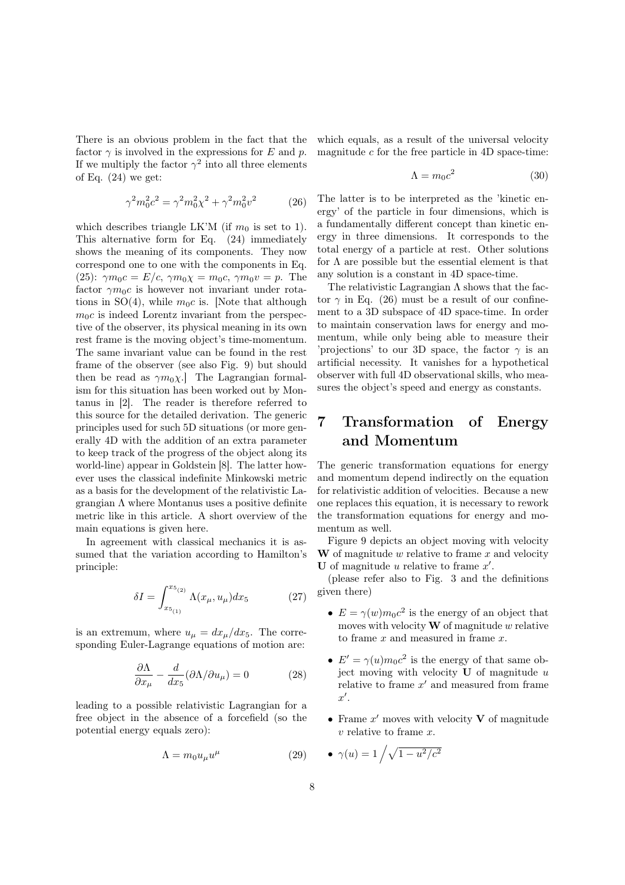There is an obvious problem in the fact that the factor  $\gamma$  is involved in the expressions for E and p. If we multiply the factor  $\gamma^2$  into all three elements of Eq.  $(24)$  we get:

$$
\gamma^2 m_0^2 c^2 = \gamma^2 m_0^2 \chi^2 + \gamma^2 m_0^2 v^2 \tag{26}
$$

which describes triangle LK'M (if  $m_0$  is set to 1). This alternative form for Eq. (24) immediately shows the meaning of its components. They now correspond one to one with the components in Eq. (25):  $\gamma m_0 c = E/c, \ \gamma m_0 \chi = m_0 c, \ \gamma m_0 v = p.$  The factor  $\gamma m_0 c$  is however not invariant under rotations in  $SO(4)$ , while  $m_0c$  is. [Note that although  $m_0c$  is indeed Lorentz invariant from the perspective of the observer, its physical meaning in its own rest frame is the moving object's time-momentum. The same invariant value can be found in the rest frame of the observer (see also Fig. 9) but should then be read as  $\gamma m_0 \chi$ . The Lagrangian formalism for this situation has been worked out by Montanus in [2]. The reader is therefore referred to this source for the detailed derivation. The generic principles used for such 5D situations (or more generally 4D with the addition of an extra parameter to keep track of the progress of the object along its world-line) appear in Goldstein [8]. The latter however uses the classical indefinite Minkowski metric as a basis for the development of the relativistic Lagrangian Λ where Montanus uses a positive definite metric like in this article. A short overview of the main equations is given here.

In agreement with classical mechanics it is assumed that the variation according to Hamilton's principle:

$$
\delta I = \int_{x_{5_{(1)}}}^{x_{5_{(2)}}} \Lambda(x_{\mu}, u_{\mu}) dx_{5}
$$
 (27)

is an extremum, where  $u_{\mu} = dx_{\mu}/dx_5$ . The corresponding Euler-Lagrange equations of motion are:

$$
\frac{\partial \Lambda}{\partial x_{\mu}} - \frac{d}{dx_5} (\partial \Lambda / \partial u_{\mu}) = 0 \tag{28}
$$

leading to a possible relativistic Lagrangian for a free object in the absence of a forcefield (so the potential energy equals zero):

$$
\Lambda = m_0 u_\mu u^\mu \tag{29}
$$

which equals, as a result of the universal velocity magnitude  $c$  for the free particle in 4D space-time:

$$
\Lambda = m_0 c^2 \tag{30}
$$

The latter is to be interpreted as the 'kinetic energy' of the particle in four dimensions, which is a fundamentally different concept than kinetic energy in three dimensions. It corresponds to the total energy of a particle at rest. Other solutions for  $\Lambda$  are possible but the essential element is that any solution is a constant in 4D space-time.

The relativistic Lagrangian  $\Lambda$  shows that the factor  $\gamma$  in Eq. (26) must be a result of our confinement to a 3D subspace of 4D space-time. In order to maintain conservation laws for energy and momentum, while only being able to measure their 'projections' to our 3D space, the factor  $\gamma$  is an artificial necessity. It vanishes for a hypothetical observer with full 4D observational skills, who measures the object's speed and energy as constants.

### 7 Transformation of Energy and Momentum

The generic transformation equations for energy and momentum depend indirectly on the equation for relativistic addition of velocities. Because a new one replaces this equation, it is necessary to rework the transformation equations for energy and momentum as well.

Figure 9 depicts an object moving with velocity **W** of magnitude  $w$  relative to frame  $x$  and velocity U of magnitude  $u$  relative to frame  $x'$ .

(please refer also to Fig. 3 and the definitions given there)

- $E = \gamma(w) m_0 c^2$  is the energy of an object that moves with velocity  $\bf{W}$  of magnitude w relative to frame  $x$  and measured in frame  $x$ .
- $E' = \gamma(u)m_0c^2$  is the energy of that same object moving with velocity  $U$  of magnitude  $u$ relative to frame  $x'$  and measured from frame  $x'.$
- Frame  $x'$  moves with velocity  $V$  of magnitude  $v$  relative to frame  $x$ .

$$
\bullet \ \gamma(u) = 1 \bigg/ \sqrt{1 - u^2/c^2}
$$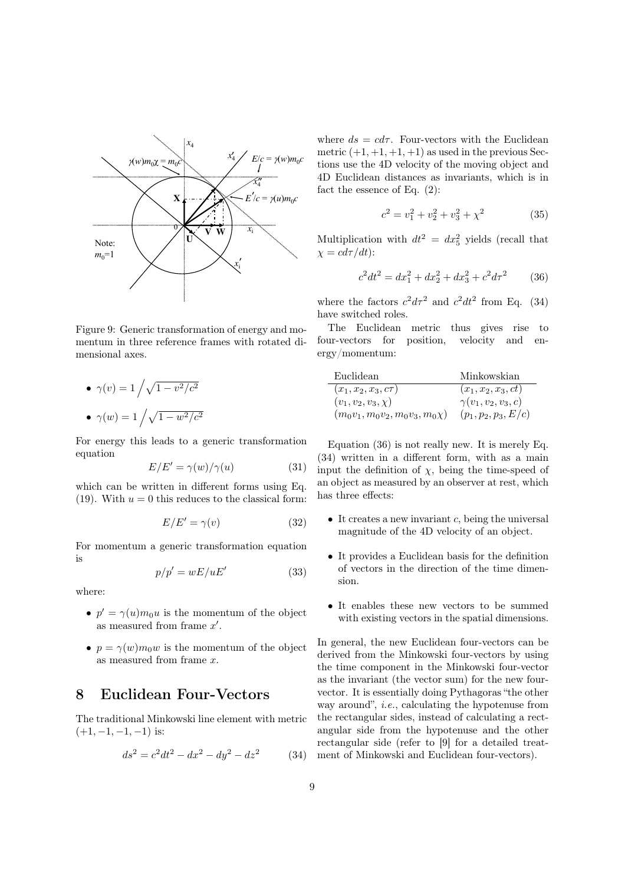

Figure 9: Generic transformation of energy and momentum in three reference frames with rotated dimensional axes.

\n- $$
\gamma(v) = 1 / \sqrt{1 - v^2/c^2}
$$
\n- $\gamma(w) = 1 / \sqrt{1 - w^2/c^2}$
\n

For energy this leads to a generic transformation equation

$$
E/E' = \gamma(w)/\gamma(u) \tag{31}
$$

which can be written in different forms using Eq. (19). With  $u = 0$  this reduces to the classical form:

$$
E/E' = \gamma(v) \tag{32}
$$

For momentum a generic transformation equation is

$$
p/p' = wE/uE'
$$
 (33)

where:

- $p' = \gamma(u) m_0 u$  is the momentum of the object as measured from frame  $x'$ .
- $p = \gamma(w)m_0w$  is the momentum of the object as measured from frame x.

### 8 Euclidean Four-Vectors

The traditional Minkowski line element with metric  $(+1, -1, -1, -1)$  is:

$$
ds^2 = c^2 dt^2 - dx^2 - dy^2 - dz^2 \tag{34}
$$

where  $ds = cd\tau$ . Four-vectors with the Euclidean metric  $(+1, +1, +1, +1)$  as used in the previous Sections use the 4D velocity of the moving object and 4D Euclidean distances as invariants, which is in fact the essence of Eq. (2):

$$
c^2 = v_1^2 + v_2^2 + v_3^2 + \chi^2 \tag{35}
$$

Multiplication with  $dt^2 = dx_5^2$  yields (recall that  $\chi = c d\tau/dt$ :

$$
c^2 dt^2 = dx_1^2 + dx_2^2 + dx_3^2 + c^2 d\tau^2 \tag{36}
$$

where the factors  $c^2 d\tau^2$  and  $c^2 dt^2$  from Eq. (34) have switched roles.

The Euclidean metric thus gives rise to four-vectors for position, velocity and energy/momentum:

| Euclidean                           | Minkowskian             |
|-------------------------------------|-------------------------|
| $(x_1, x_2, x_3, c\tau)$            | $(x_1, x_2, x_3, ct)$   |
| $(v_1, v_2, v_3, \chi)$             | $\gamma(v_1,v_2,v_3,c)$ |
| $(m_0v_1, m_0v_2, m_0v_3, m_0\chi)$ | $(p_1, p_2, p_3, E/c)$  |

Equation (36) is not really new. It is merely Eq. (34) written in a different form, with as a main input the definition of  $\chi$ , being the time-speed of an object as measured by an observer at rest, which has three effects:

- $\bullet$  It creates a new invariant c, being the universal magnitude of the 4D velocity of an object.
- It provides a Euclidean basis for the definition of vectors in the direction of the time dimension.
- It enables these new vectors to be summed with existing vectors in the spatial dimensions.

In general, the new Euclidean four-vectors can be derived from the Minkowski four-vectors by using the time component in the Minkowski four-vector as the invariant (the vector sum) for the new fourvector. It is essentially doing Pythagoras "the other way around", i.e., calculating the hypotenuse from the rectangular sides, instead of calculating a rectangular side from the hypotenuse and the other rectangular side (refer to [9] for a detailed treatment of Minkowski and Euclidean four-vectors).